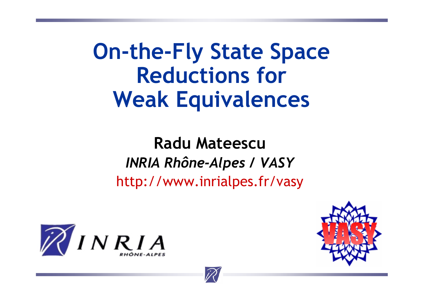**On-the-Fly State Space Reductions for Weak Equivalences**

**Radu Mateescu***INRIA Rhône-Alpes / VASY* http://www.inrialpes.fr/vasy





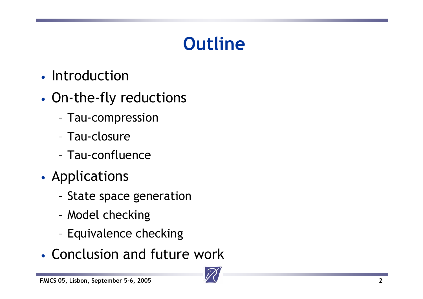# **Outline**

- Introduction
- • On-the-fly reductions
	- Tau-compression
	- Tau-closure
	- Tau-confluence
- •**• Applications** 
	- State space generation
	- –Model checking
	- –Equivalence checking
- Conclusion and future work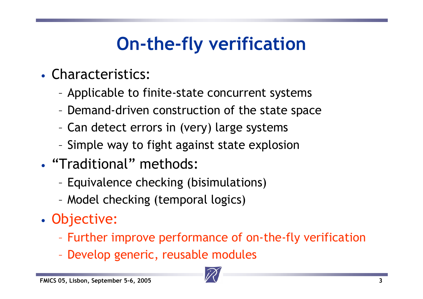# **On-the-fly verification**

- Characteristics:
	- Applicable to finite-state concurrent systems
	- Demand-driven construction of the state space
	- Can detect errors in (very) large systems
	- –Simple way to fight against state explosion
- "Traditional" methods:
	- Equivalence checking (bisimulations)
	- Model checking (temporal logics)
- • Objective:
	- Further improve performance of on-the-fly verification
	- Develop generic, reusable modules

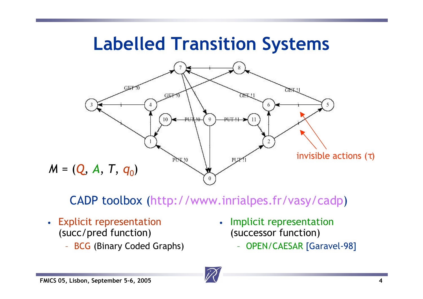### **Labelled Transition Systems**



CADP toolbox (http://www.inrialpes.fr/vasy/cadp)

- Explicit representation (succ/pred function)
	- BCG (Binary Coded Graphs)
- Implicit representation (successor function)
	- OPEN/CAESAR [Garavel-98]

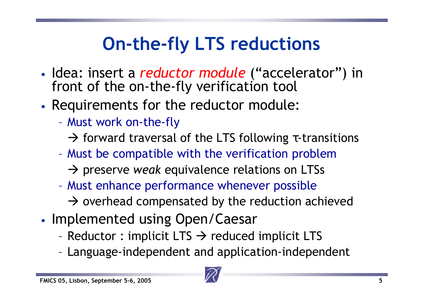# **On-the-fly LTS reductions**

- Idea: insert a *reductor module* ("accelerator") in front of the on-the-fly verification tool
- • Requirements for the reductor module:
	- $\mathcal{L}_{\mathcal{A}}$  Must work on-the-fly
		- $\rightarrow$  forward traversal of the LTS following τ-transitions
	- Must be compatible with the verification problem
		- → preserve *weak* equivalence relations on LTSs
	- $\mathcal{L}_{\mathcal{A}}$  Must enhance performance whenever possible  $\rightarrow$  overhead compensated by the reduction achieved
- •• Implemented using Open/Caesar
	- –Reductor : implicit LTS  $\rightarrow$  reduced implicit LTS
	- –Language-independent and application-independent

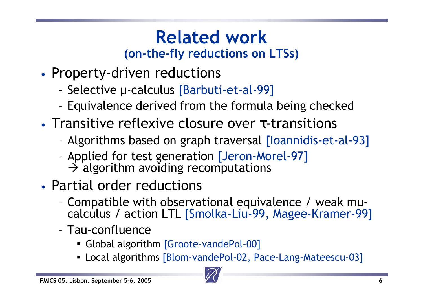### **Related work(on-the-fly reductions on LTSs)**

- •• Property-driven reductions
	- –Selective µ-calculus [Barbuti-et-al-99]
	- –Equivalence derived from the formula being checked
- Transitive reflexive closure over τ-transitions
	- –Algorithms based on graph traversal [Ioannidis-et-al-93]
	- – Applied for test generation [Jeron-Morel-97]  $\rightarrow$  algorithm avoiding recomputations
- Partial order reductions
	- – Compatible with observational equivalence / weak mucalculus / action LTL [Smolka-Liu-99, Magee-Kramer-99]
	- Tau-confluence
		- Global algorithm [Groote-vandePol-00]
		- Local algorithms [Blom-vandePol-02, Pace-Lang-Mateescu-03]

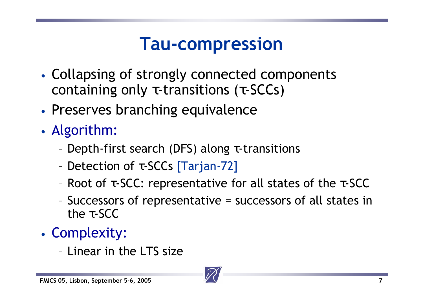## **Tau-compression**

- • Collapsing of strongly connected components containing only  $\tau$ -transitions ( $\tau$ -SCCs)
- •Preserves branching equivalence
- • Algorithm:
	- –Depth-first search (DFS) along τ-transitions
	- –Detection of τ-SCCs [Tarjan-72]
	- –Root of τ-SCC: representative for all states of the τ-SCC
	- – Successors of representative = successors of all states in the  $\tau$ -SCC
- • Complexity:
	- Linear in the LTS size

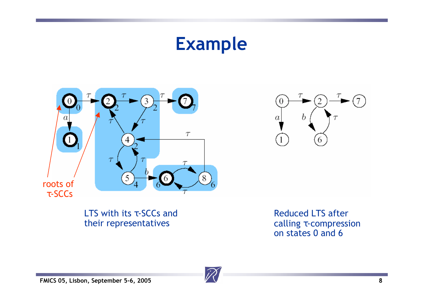## **Example**





LTS with its τ-SCCs and their representatives

Reduced LTS after calling τ-compression on states 0 and 6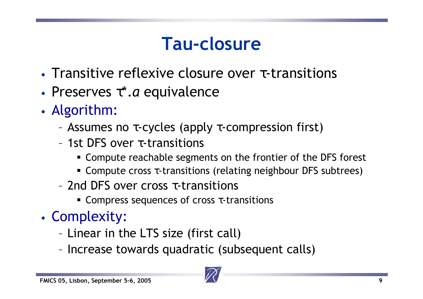## **Tau-closure**

- Transitive reflexive closure over τ-transitions
- Preserves τ\*.*a* equivalence
- • Algorithm:
	- –Assumes no τ-cycles (apply τ-compression first)
	- 1st DFS over τ-transitions
		- Compute reachable segments on the frontier of the DFS forest
		- **-** Compute cross  $\tau$ -transitions (relating neighbour DFS subtrees)
	- 2nd DFS over cross τ-transitions
		- **Compress sequences of cross**  $\tau$ **-transitions**
- • Complexity:
	- –Linear in the LTS size (first call)
	- –Increase towards quadratic (subsequent calls)

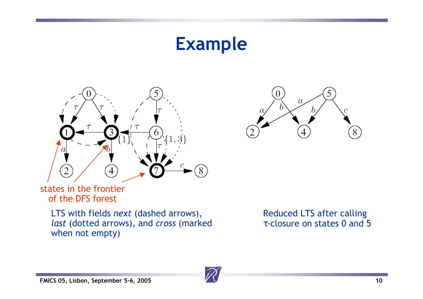## **Example**





states in the frontier of the DFS forest

> LTS with fields *next* (dashed arrows), *last* (dotted arrows), and *cross* (marked when not empty)

Reduced LTS after calling τ-closure on states 0 and 5

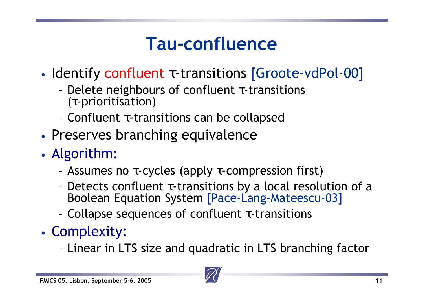## **Tau-confluence**

- •• Identify confluent τ-transitions [Groote-vdPol-00]
	- – Delete neighbours of confluent τ-transitions (τ-prioritisation)
	- –Confluent τ-transitions can be collapsed
- •Preserves branching equivalence
- • Algorithm:
	- –Assumes no τ-cycles (apply τ-compression first)
	- – Detects confluent τ-transitions by a local resolution of a Boolean Equation System [Pace-Lang-Mateescu-03]
	- –Collapse sequences of confluent τ-transitions
- • Complexity:
	- Linear in LTS size and quadratic in LTS branching factor

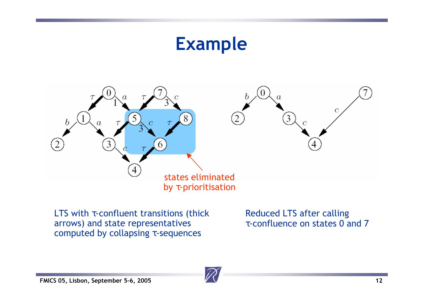## **Example**



LTS with  $\tau$ -confluent transitions (thick arrows) and state representatives computed by collapsing τ-sequences

Reduced LTS after calling τ-confluence on states 0 and 7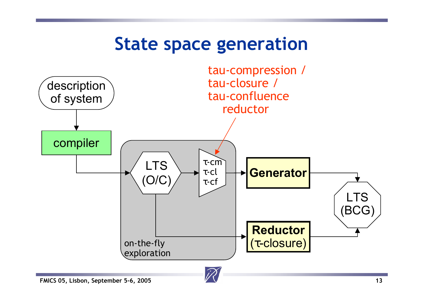### **State space generation**

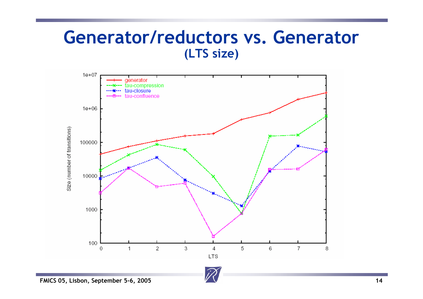#### **Generator/reductors vs. Generator (LTS size)**

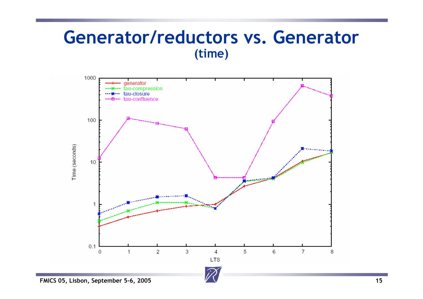#### **Generator/reductors vs. Generator (time)**

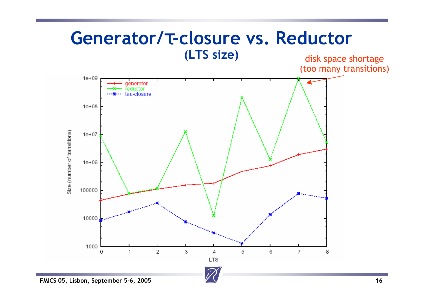### **Generator/**τ**-closure vs. Reductor (LTS size)** disk space shortage

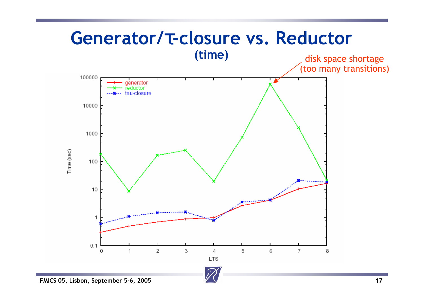### **Generator/**τ**-closure vs. Reductor (time)** disk space shortage

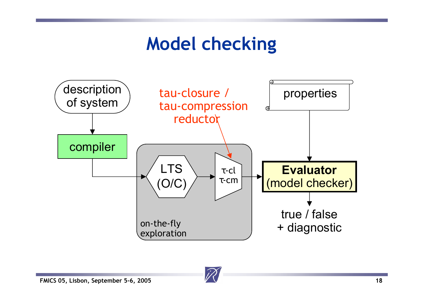## **Model checking**

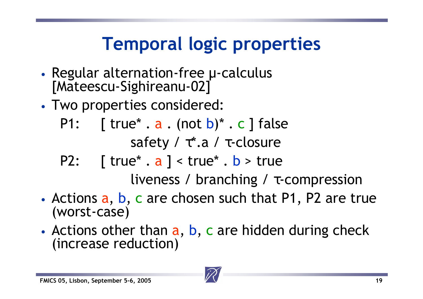# **Temporal logic properties**

- •• Regular alternation-free µ-calculus [Mateescu-Sighireanu-02]
- • Two properties considered:
	- P1:  $\lceil$  true\* . a . (not b)\* . c ] false safety /  $\tau^*$ .a /  $\tau$ -closure
	- P2:  $\lceil$  true\* . a  $\rceil$  < true\* . b > true

liveness / branching / τ-compression

- Actions a, b, c are chosen such that P1, P2 are true (worst-case)
- •• Actions other than a, b, c are hidden during check (increase reduction)

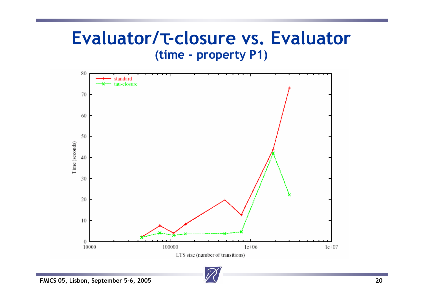### **Evaluator/**τ**-closure vs. Evaluator (time - property P1)**

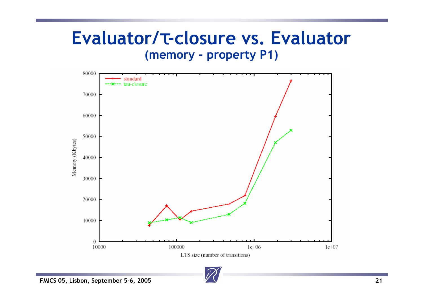### **Evaluator/**τ**-closure vs. Evaluator (memory - property P1)**

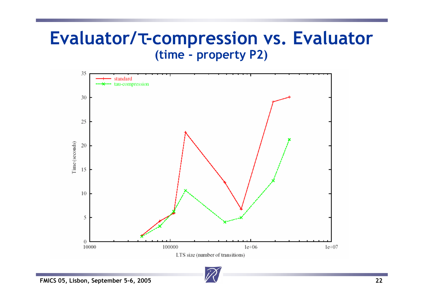### **Evaluator/**τ**-compression vs. Evaluator (time - property P2)**

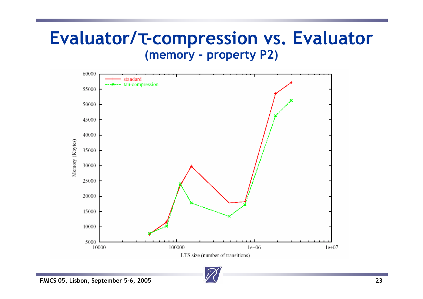### **Evaluator/**τ**-compression vs. Evaluator (memory - property P2)**



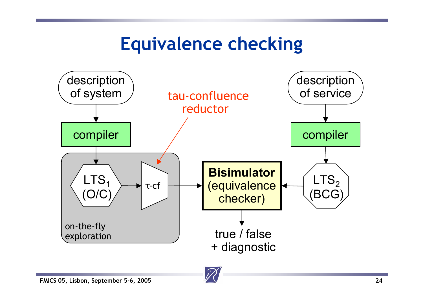## **Equivalence checking**

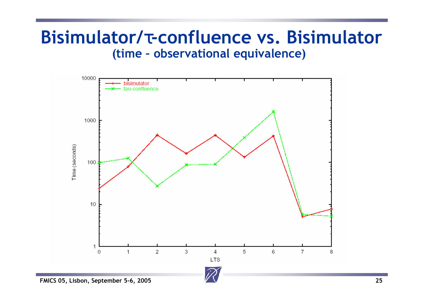#### **Bisimulator/**τ**-confluence vs. Bisimulator (time – observational equivalence)**

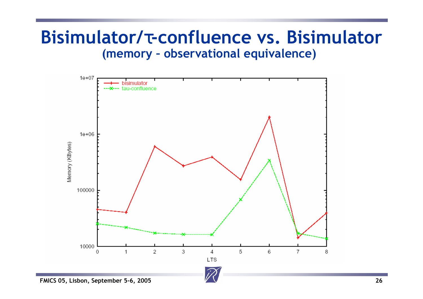#### **Bisimulator/**τ**-confluence vs. Bisimulator (memory – observational equivalence)**